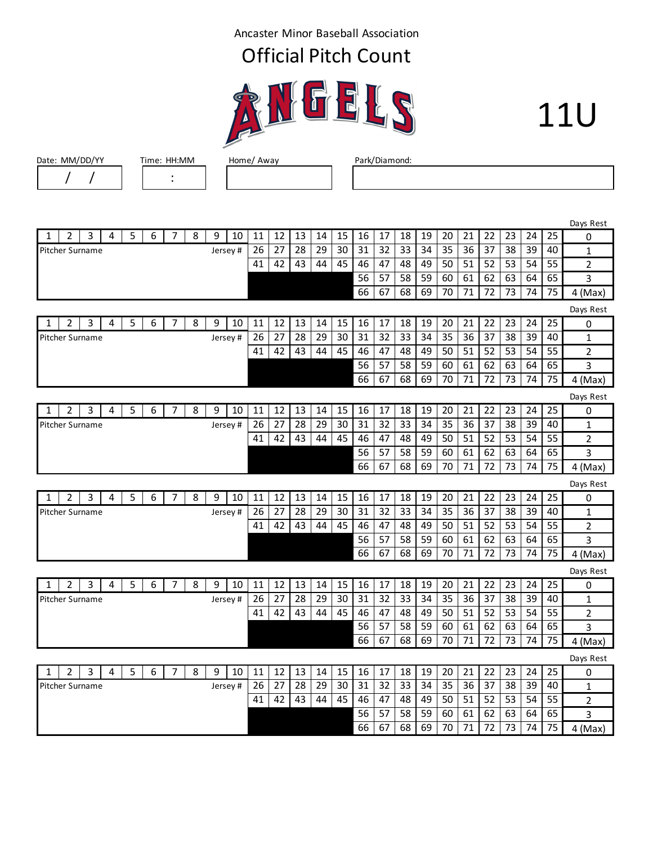Ancaster Minor Baseball Association

## Official Pitch Count



## 11U

|   | ı              | $\prime$               |   |   |   |                |   |         |    |    |    |    |    |           |           |    |    |    |    |    |    |    |    |                |
|---|----------------|------------------------|---|---|---|----------------|---|---------|----|----|----|----|----|-----------|-----------|----|----|----|----|----|----|----|----|----------------|
|   |                |                        |   |   |   |                |   |         |    |    |    |    |    |           |           |    |    |    |    |    |    |    |    |                |
|   |                |                        |   |   |   |                |   |         |    |    |    |    |    |           |           |    |    |    |    |    |    |    |    |                |
|   |                |                        |   |   |   |                |   |         |    |    |    |    |    |           |           |    |    |    |    |    |    |    |    | Days Rest      |
| 1 | $\overline{2}$ | 3                      | 4 | 5 | 6 | $\overline{7}$ | 8 | 9<br>10 | 11 | 12 | 13 | 14 | 15 | 16        | 17        | 18 | 19 | 20 | 21 | 22 | 23 | 24 | 25 | 0              |
|   |                | Pitcher Surname        |   |   |   |                |   | Jersey# | 26 | 27 | 28 | 29 | 30 | 31        | 32        | 33 | 34 | 35 | 36 | 37 | 38 | 39 | 40 | 1              |
|   |                |                        |   |   |   |                |   |         | 41 | 42 | 43 | 44 | 45 | 46        | 47        | 48 | 49 | 50 | 51 | 52 | 53 | 54 | 55 | 2              |
|   |                |                        |   |   |   |                |   |         |    |    |    |    |    | 56        | 57        | 58 | 59 | 60 | 61 | 62 | 63 | 64 | 65 | 3              |
|   |                |                        |   |   |   |                |   |         |    |    |    |    |    | 66        | 67        | 68 | 69 | 70 | 71 | 72 | 73 | 74 | 75 | 4 (Max)        |
|   |                |                        |   |   |   |                |   |         |    |    |    |    |    | Days Rest |           |    |    |    |    |    |    |    |    |                |
| 1 | $\overline{2}$ | 3                      | 4 | 5 | 6 | $\overline{7}$ | 8 | 9<br>10 | 11 | 12 | 13 | 14 | 15 | 16        | 17        | 18 | 19 | 20 | 21 | 22 | 23 | 24 | 25 | 0              |
|   |                | Pitcher Surname        |   |   |   |                |   | Jersey# | 26 | 27 | 28 | 29 | 30 | 31        | 32        | 33 | 34 | 35 | 36 | 37 | 38 | 39 | 40 | 1              |
|   |                |                        |   |   |   |                |   |         | 41 | 42 | 43 | 44 | 45 | 46        | 47        | 48 | 49 | 50 | 51 | 52 | 53 | 54 | 55 | 2              |
|   |                |                        |   |   |   |                |   |         |    |    |    |    |    | 56        | 57        | 58 | 59 | 60 | 61 | 62 | 63 | 64 | 65 | 3              |
|   |                |                        |   |   |   |                |   |         |    |    |    |    |    | 66        | 67        | 68 | 69 | 70 | 71 | 72 | 73 | 74 | 75 | $4$ (Max)      |
|   |                |                        |   |   |   |                |   |         |    |    |    |    |    |           |           |    |    |    |    |    |    |    |    | Days Rest      |
| 1 | $\overline{2}$ | 3                      | 4 | 5 | 6 | 7              | 8 | 9<br>10 | 11 | 12 | 13 | 14 | 15 | 16        | 17        | 18 | 19 | 20 | 21 | 22 | 23 | 24 | 25 | 0              |
|   |                | Pitcher Surname        |   |   |   |                |   | Jersey# | 26 | 27 | 28 | 29 | 30 | 31        | 32        | 33 | 34 | 35 | 36 | 37 | 38 | 39 | 40 | $\mathbf 1$    |
|   |                |                        |   |   |   |                |   |         | 41 | 42 | 43 | 44 | 45 | 46        | 47        | 48 | 49 | 50 | 51 | 52 | 53 | 54 | 55 | $\overline{2}$ |
|   |                |                        |   |   |   |                |   |         |    |    |    |    |    | 56        | 57        | 58 | 59 | 60 | 61 | 62 | 63 | 64 | 65 | 3              |
|   |                |                        |   |   |   |                |   |         |    |    |    |    |    | 66        | 67        | 68 | 69 | 70 | 71 | 72 | 73 | 74 | 75 | $4$ (Max)      |
|   |                |                        |   |   |   |                |   |         |    |    |    |    |    |           | Days Rest |    |    |    |    |    |    |    |    |                |
| 1 | 2              | 3                      | 4 | 5 | 6 | $\overline{7}$ | 8 | 9<br>10 | 11 | 12 | 13 | 14 | 15 | 16        | 17        | 18 | 19 | 20 | 21 | 22 | 23 | 24 | 25 | 0              |
|   |                | <b>Pitcher Surname</b> |   |   |   |                |   | Jersey# | 26 | 27 | 28 | 29 | 30 | 31        | 32        | 33 | 34 | 35 | 36 | 37 | 38 | 39 | 40 | $\mathbf{1}$   |
|   |                |                        |   |   |   |                |   |         | 41 | 42 | 43 | 44 | 45 | 46        | 47        | 48 | 49 | 50 | 51 | 52 | 53 | 54 | 55 | $\overline{2}$ |
|   |                |                        |   |   |   |                |   |         |    |    |    |    |    | 56        | 57        | 58 | 59 | 60 | 61 | 62 | 63 | 64 | 65 | 3              |
|   |                |                        |   |   |   |                |   |         |    |    |    |    |    | 66        | 67        | 68 | 69 | 70 | 71 | 72 | 73 | 74 | 75 | $4$ (Max)      |
|   |                |                        |   |   |   |                |   |         |    |    |    |    |    |           |           |    |    |    |    |    |    |    |    | Days Rest      |
| 1 | $\overline{2}$ | 3                      | 4 | 5 | 6 | $\overline{7}$ | 8 | 9<br>10 | 11 | 12 | 13 | 14 | 15 | 16        | 17        | 18 | 19 | 20 | 21 | 22 | 23 | 24 | 25 | 0              |
|   |                | Pitcher Surname        |   |   |   |                |   | Jersey# | 26 | 27 | 28 | 29 | 30 | 31        | 32        | 33 | 34 | 35 | 36 | 37 | 38 | 39 | 40 | 1              |
|   |                |                        |   |   |   |                |   |         | 41 | 42 | 43 | 44 | 45 | 46        | 47        | 48 | 49 | 50 | 51 | 52 | 53 | 54 | 55 | 2              |
|   |                |                        |   |   |   |                |   |         |    |    |    |    |    | 56        | 57        | 58 | 59 | 60 | 61 | 62 | 63 | 64 | 65 | 3              |
|   |                |                        |   |   |   |                |   |         |    |    |    |    |    | 66        | 67        | 68 | 69 | 70 | 71 | 72 | 73 | 74 | 75 | 4 (Max)        |
|   |                |                        |   |   |   |                |   |         |    |    |    |    |    |           |           |    |    |    |    |    |    |    |    | Days Rest      |
| 1 | $\overline{2}$ | 3                      | 4 | 5 | 6 | $\overline{7}$ | 8 | 9<br>10 | 11 | 12 | 13 | 14 | 15 | 16        | 17        | 18 | 19 | 20 | 21 | 22 | 23 | 24 | 25 | 0              |
|   |                | Pitcher Surname        |   |   |   |                |   | Jersey# | 26 | 27 | 28 | 29 | 30 | 31        | 32        | 33 | 34 | 35 | 36 | 37 | 38 | 39 | 40 | $\mathbf{1}$   |
|   |                |                        |   |   |   |                |   |         | 41 | 42 | 43 | 44 | 45 | 46        | 47        | 48 | 49 | 50 | 51 | 52 | 53 | 54 | 55 | $\overline{2}$ |
|   |                |                        |   |   |   |                |   |         |    |    |    |    |    | 56        | 57        | 58 | 59 | 60 | 61 | 62 | 63 | 64 | 65 | 3              |
|   |                |                        |   |   |   |                |   |         |    |    |    |    |    | 66        | 67        | 68 | 69 | 70 | 71 | 72 | 73 | 74 | 75 | $4$ (Max)      |
|   |                |                        |   |   |   |                |   |         |    |    |    |    |    |           |           |    |    |    |    |    |    |    |    |                |

Г

 $\sqrt{1 + \frac{1}{\sqrt{1 + \frac{1}{\sqrt{1 + \frac{1}{\sqrt{1 + \frac{1}{\sqrt{1 + \frac{1}{\sqrt{1 + \frac{1}{\sqrt{1 + \frac{1}{\sqrt{1 + \frac{1}{\sqrt{1 + \frac{1}{\sqrt{1 + \frac{1}{\sqrt{1 + \frac{1}{\sqrt{1 + \frac{1}{\sqrt{1 + \frac{1}{\sqrt{1 + \frac{1}{\sqrt{1 + \frac{1}{\sqrt{1 + \frac{1}{\sqrt{1 + \frac{1}{\sqrt{1 + \frac{1}{\sqrt{1 + \frac{1}{\sqrt{1 + \frac{1}{\sqrt{1 + \frac{1}{\sqrt{1 + \frac{1}{$ 

 $\overline{\phantom{a}}$ 



Date: MM/DD/YY Time: HH:MM Home/ Away Park/Diamond: